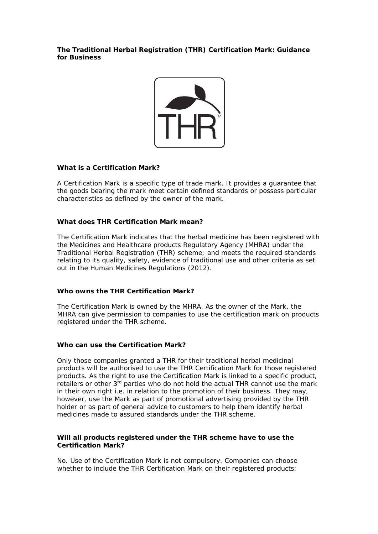**The Traditional Herbal Registration (THR) Certification Mark: Guidance for Business** 



## **What is a Certification Mark?**

A Certification Mark is a specific type of trade mark. It provides a guarantee that the goods bearing the mark meet certain defined standards or possess particular characteristics as defined by the owner of the mark.

# **What does THR Certification Mark mean?**

The Certification Mark indicates that the herbal medicine has been registered with the Medicines and Healthcare products Regulatory Agency (MHRA) under the Traditional Herbal Registration (THR) scheme; and meets the required standards relating to its quality, safety, evidence of traditional use and other criteria as set out in the Human Medicines Regulations (2012).

## **Who owns the THR Certification Mark?**

The Certification Mark is owned by the MHRA. As the owner of the Mark, the MHRA can give permission to companies to use the certification mark on products registered under the THR scheme.

# **Who can use the Certification Mark?**

Only those companies granted a THR for their traditional herbal medicinal products will be authorised to use the THR Certification Mark for those registered products. As the right to use the Certification Mark is linked to a specific product, retailers or other 3<sup>rd</sup> parties who do not hold the actual THR cannot use the mark in their own right i.e. in relation to the promotion of their business. They may, however, use the Mark as part of promotional advertising provided by the THR holder or as part of general advice to customers to help them identify herbal medicines made to assured standards under the THR scheme.

## **Will all products registered under the THR scheme have to use the Certification Mark?**

No. Use of the Certification Mark is not compulsory. Companies can choose whether to include the THR Certification Mark on their registered products;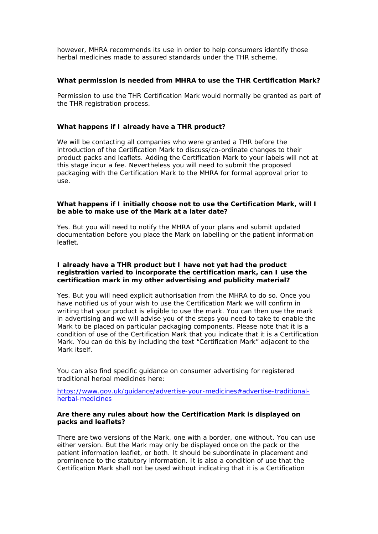however, MHRA recommends its use in order to help consumers identify those herbal medicines made to assured standards under the THR scheme.

#### **What permission is needed from MHRA to use the THR Certification Mark?**

Permission to use the THR Certification Mark would normally be granted as part of the THR registration process.

## **What happens if I already have a THR product?**

We will be contacting all companies who were granted a THR before the introduction of the Certification Mark to discuss/co-ordinate changes to their product packs and leaflets. Adding the Certification Mark to your labels will not at this stage incur a fee. Nevertheless you will need to submit the proposed packaging with the Certification Mark to the MHRA for formal approval prior to use.

## **What happens if I initially choose not to use the Certification Mark, will I be able to make use of the Mark at a later date?**

Yes. But you will need to notify the MHRA of your plans and submit updated documentation before you place the Mark on labelling or the patient information leaflet.

#### **I already have a THR product but I have not yet had the product registration varied to incorporate the certification mark, can I use the certification mark in my other advertising and publicity material?**

Yes. But you will need explicit authorisation from the MHRA to do so. Once you have notified us of your wish to use the Certification Mark we will confirm in writing that your product is eligible to use the mark. You can then use the mark in advertising and we will advise you of the steps you need to take to enable the Mark to be placed on particular packaging components. Please note that it is a condition of use of the Certification Mark that you indicate that it is a Certification Mark. You can do this by including the text "Certification Mark" adjacent to the Mark itself.

You can also find specific guidance on consumer advertising for registered traditional herbal medicines here:

https://www.gov.uk/guidance/advertise-your-medicines#advertise-traditionalherbal-medicines

#### **Are there any rules about how the Certification Mark is displayed on packs and leaflets?**

There are two versions of the Mark, one with a border, one without. You can use either version. But the Mark may only be displayed once on the pack or the patient information leaflet, or both. It should be subordinate in placement and prominence to the statutory information. It is also a condition of use that the Certification Mark shall not be used without indicating that it is a Certification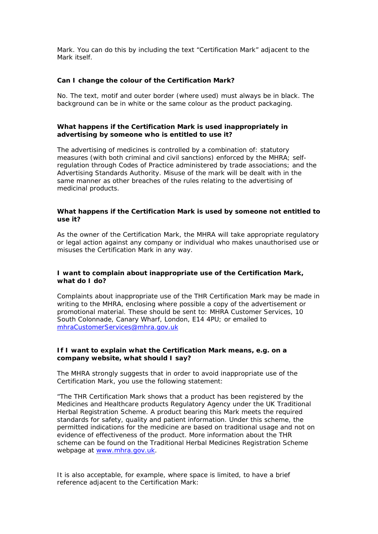Mark. You can do this by including the text "Certification Mark" adjacent to the Mark itself.

#### **Can I change the colour of the Certification Mark?**

No. The text, motif and outer border (where used) must always be in black. The background can be in white or the same colour as the product packaging.

#### **What happens if the Certification Mark is used inappropriately in advertising by someone who is entitled to use it?**

The advertising of medicines is controlled by a combination of: statutory measures (with both criminal and civil sanctions) enforced by the MHRA; selfregulation through Codes of Practice administered by trade associations; and the Advertising Standards Authority. Misuse of the mark will be dealt with in the same manner as other breaches of the rules relating to the advertising of medicinal products.

#### **What happens if the Certification Mark is used by someone not entitled to use it?**

As the owner of the Certification Mark, the MHRA will take appropriate regulatory or legal action against any company or individual who makes unauthorised use or misuses the Certification Mark in any way.

## **I want to complain about inappropriate use of the Certification Mark, what do I do?**

Complaints about inappropriate use of the THR Certification Mark may be made in writing to the MHRA, enclosing where possible a copy of the advertisement or promotional material. These should be sent to: MHRA Customer Services, 10 South Colonnade, Canary Wharf, London, E14 4PU; or emailed to mhraCustomerServices@mhra.gov.uk

#### **If I want to explain what the Certification Mark means, e.g. on a company website, what should I say?**

The MHRA strongly suggests that in order to avoid inappropriate use of the Certification Mark, you use the following statement:

*"The THR Certification Mark shows that a product has been registered by the Medicines and Healthcare products Regulatory Agency under the UK Traditional Herbal Registration Scheme. A product bearing this Mark meets the required standards for safety, quality and patient information. Under this scheme, the permitted indications for the medicine are based on traditional usage and not on evidence of effectiveness of the product. More information about the THR scheme can be found on the Traditional Herbal Medicines Registration Scheme webpage at www.mhra.gov.uk.* 

It is also acceptable, for example, where space is limited, to have a brief reference adjacent to the Certification Mark: